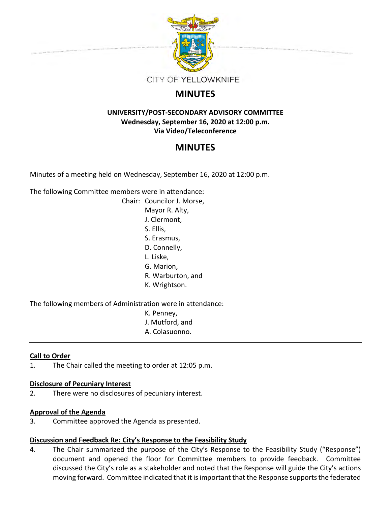

# **MINUTES**

### **UNIVERSITY/POST-SECONDARY ADVISORY COMMITTEE Wednesday, September 16, 2020 at 12:00 p.m. Via Video/Teleconference**

# **MINUTES**

Minutes of a meeting held on Wednesday, September 16, 2020 at 12:00 p.m.

The following Committee members were in attendance:

Chair: Councilor J. Morse, Mayor R. Alty, J. Clermont, S. Ellis, S. Erasmus, D. Connelly, L. Liske, G. Marion, R. Warburton, and K. Wrightson.

The following members of Administration were in attendance:

- K. Penney,
- J. Mutford, and
- A. Colasuonno.

## **Call to Order**

1. The Chair called the meeting to order at 12:05 p.m.

### **Disclosure of Pecuniary Interest**

2. There were no disclosures of pecuniary interest.

### **Approval of the Agenda**

3. Committee approved the Agenda as presented.

## **Discussion and Feedback Re: City's Response to the Feasibility Study**

4. The Chair summarized the purpose of the City's Response to the Feasibility Study ("Response") document and opened the floor for Committee members to provide feedback. Committee discussed the City's role as a stakeholder and noted that the Response will guide the City's actions moving forward. Committee indicated that it is important that the Response supports the federated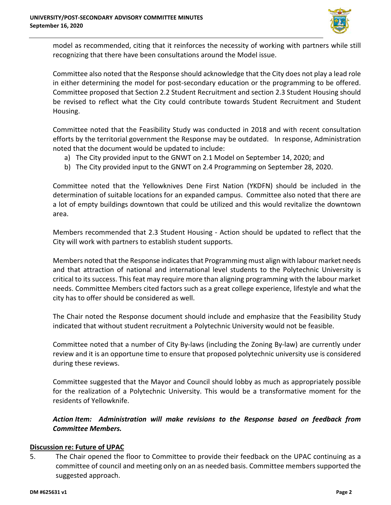

model as recommended, citing that it reinforces the necessity of working with partners while still recognizing that there have been consultations around the Model issue.

Committee also noted that the Response should acknowledge that the City does not play a lead role in either determining the model for post-secondary education or the programming to be offered. Committee proposed that Section 2.2 Student Recruitment and section 2.3 Student Housing should be revised to reflect what the City could contribute towards Student Recruitment and Student Housing.

Committee noted that the Feasibility Study was conducted in 2018 and with recent consultation efforts by the territorial government the Response may be outdated. In response, Administration noted that the document would be updated to include:

- a) The City provided input to the GNWT on 2.1 Model on September 14, 2020; and
- b) The City provided input to the GNWT on 2.4 Programming on September 28, 2020.

Committee noted that the Yellowknives Dene First Nation (YKDFN) should be included in the determination of suitable locations for an expanded campus. Committee also noted that there are a lot of empty buildings downtown that could be utilized and this would revitalize the downtown area.

Members recommended that 2.3 Student Housing - Action should be updated to reflect that the City will work with partners to establish student supports.

Members noted that the Response indicates that Programming must align with labour market needs and that attraction of national and international level students to the Polytechnic University is critical to its success. This feat may require more than aligning programming with the labour market needs. Committee Members cited factors such as a great college experience, lifestyle and what the city has to offer should be considered as well.

The Chair noted the Response document should include and emphasize that the Feasibility Study indicated that without student recruitment a Polytechnic University would not be feasible.

 Committee noted that a number of City By-laws (including the Zoning By-law) are currently under review and it is an opportune time to ensure that proposed polytechnic university use is considered during these reviews.

Committee suggested that the Mayor and Council should lobby as much as appropriately possible for the realization of a Polytechnic University. This would be a transformative moment for the residents of Yellowknife.

*Action Item: Administration will make revisions to the Response based on feedback from Committee Members.* 

#### **Discussion re: Future of UPAC**

5. The Chair opened the floor to Committee to provide their feedback on the UPAC continuing as a committee of council and meeting only on an as needed basis. Committee members supported the suggested approach.